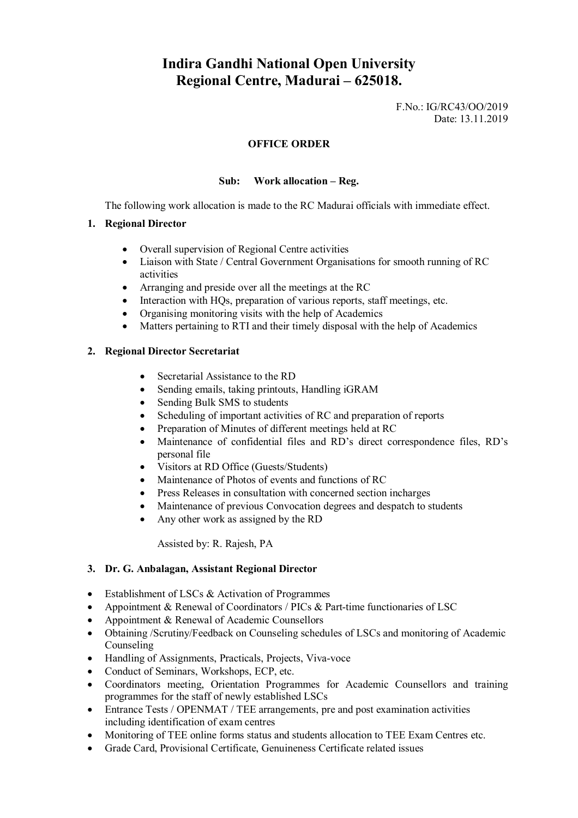# **Indira Gandhi National Open University Regional Centre, Madurai – 625018.**

F.No.: IG/RC43/OO/2019 Date: 13.11.2019

#### **OFFICE ORDER**

### **Sub: Work allocation – Reg.**

The following work allocation is made to the RC Madurai officials with immediate effect.

#### **1. Regional Director**

- Overall supervision of Regional Centre activities
- Liaison with State / Central Government Organisations for smooth running of RC activities
- Arranging and preside over all the meetings at the RC
- Interaction with HQs, preparation of various reports, staff meetings, etc.
- Organising monitoring visits with the help of Academics
- Matters pertaining to RTI and their timely disposal with the help of Academics

#### **2. Regional Director Secretariat**

- Secretarial Assistance to the RD
- Sending emails, taking printouts, Handling iGRAM
- Sending Bulk SMS to students
- Scheduling of important activities of RC and preparation of reports
- Preparation of Minutes of different meetings held at RC
- Maintenance of confidential files and RD's direct correspondence files, RD's personal file
- Visitors at RD Office (Guests/Students)
- Maintenance of Photos of events and functions of RC
- Press Releases in consultation with concerned section incharges
- Maintenance of previous Convocation degrees and despatch to students
- Any other work as assigned by the RD

Assisted by: R. Rajesh, PA

### **3. Dr. G. Anbalagan, Assistant Regional Director**

- Establishment of LSCs & Activation of Programmes
- Appointment & Renewal of Coordinators / PICs & Part-time functionaries of LSC
- Appointment & Renewal of Academic Counsellors
- Obtaining /Scrutiny/Feedback on Counseling schedules of LSCs and monitoring of Academic Counseling
- Handling of Assignments, Practicals, Projects, Viva-voce
- Conduct of Seminars, Workshops, ECP, etc.
- Coordinators meeting, Orientation Programmes for Academic Counsellors and training programmes for the staff of newly established LSCs
- Entrance Tests / OPENMAT / TEE arrangements, pre and post examination activities including identification of exam centres
- Monitoring of TEE online forms status and students allocation to TEE Exam Centres etc.
- Grade Card, Provisional Certificate, Genuineness Certificate related issues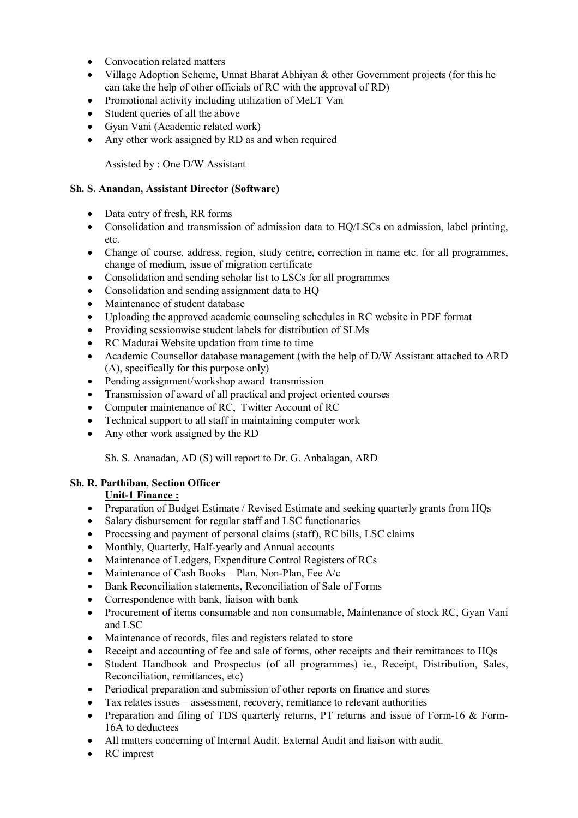- Convocation related matters
- Village Adoption Scheme, Unnat Bharat Abhiyan & other Government projects (for this he can take the help of other officials of RC with the approval of RD)
- Promotional activity including utilization of MeLT Van
- Student queries of all the above
- Gyan Vani (Academic related work)
- Any other work assigned by RD as and when required

Assisted by : One D/W Assistant

### **Sh. S. Anandan, Assistant Director (Software)**

- Data entry of fresh, RR forms
- Consolidation and transmission of admission data to HO/LSCs on admission, label printing, etc.
- Change of course, address, region, study centre, correction in name etc. for all programmes, change of medium, issue of migration certificate
- Consolidation and sending scholar list to LSCs for all programmes
- Consolidation and sending assignment data to HQ
- Maintenance of student database
- Uploading the approved academic counseling schedules in RC website in PDF format
- Providing sessionwise student labels for distribution of SLMs
- RC Madurai Website updation from time to time
- Academic Counsellor database management (with the help of D/W Assistant attached to ARD (A), specifically for this purpose only)
- Pending assignment/workshop award transmission
- Transmission of award of all practical and project oriented courses
- Computer maintenance of RC, Twitter Account of RC
- Technical support to all staff in maintaining computer work
- Any other work assigned by the RD

Sh. S. Ananadan, AD (S) will report to Dr. G. Anbalagan, ARD

# **Sh. R. Parthiban, Section Officer**

# **Unit-1 Finance :**

- Preparation of Budget Estimate / Revised Estimate and seeking quarterly grants from HOs
- Salary disbursement for regular staff and LSC functionaries
- Processing and payment of personal claims (staff), RC bills, LSC claims
- Monthly, Quarterly, Half-yearly and Annual accounts
- Maintenance of Ledgers, Expenditure Control Registers of RCs
- Maintenance of Cash Books Plan, Non-Plan, Fee  $A/c$
- Bank Reconciliation statements, Reconciliation of Sale of Forms
- Correspondence with bank, liaison with bank
- Procurement of items consumable and non consumable, Maintenance of stock RC, Gyan Vani and LSC
- Maintenance of records, files and registers related to store
- Receipt and accounting of fee and sale of forms, other receipts and their remittances to HQs
- Student Handbook and Prospectus (of all programmes) ie., Receipt, Distribution, Sales, Reconciliation, remittances, etc)
- Periodical preparation and submission of other reports on finance and stores
- Tax relates issues assessment, recovery, remittance to relevant authorities
- Preparation and filing of TDS quarterly returns, PT returns and issue of Form-16 & Form-16A to deductees
- All matters concerning of Internal Audit, External Audit and liaison with audit.
- RC imprest